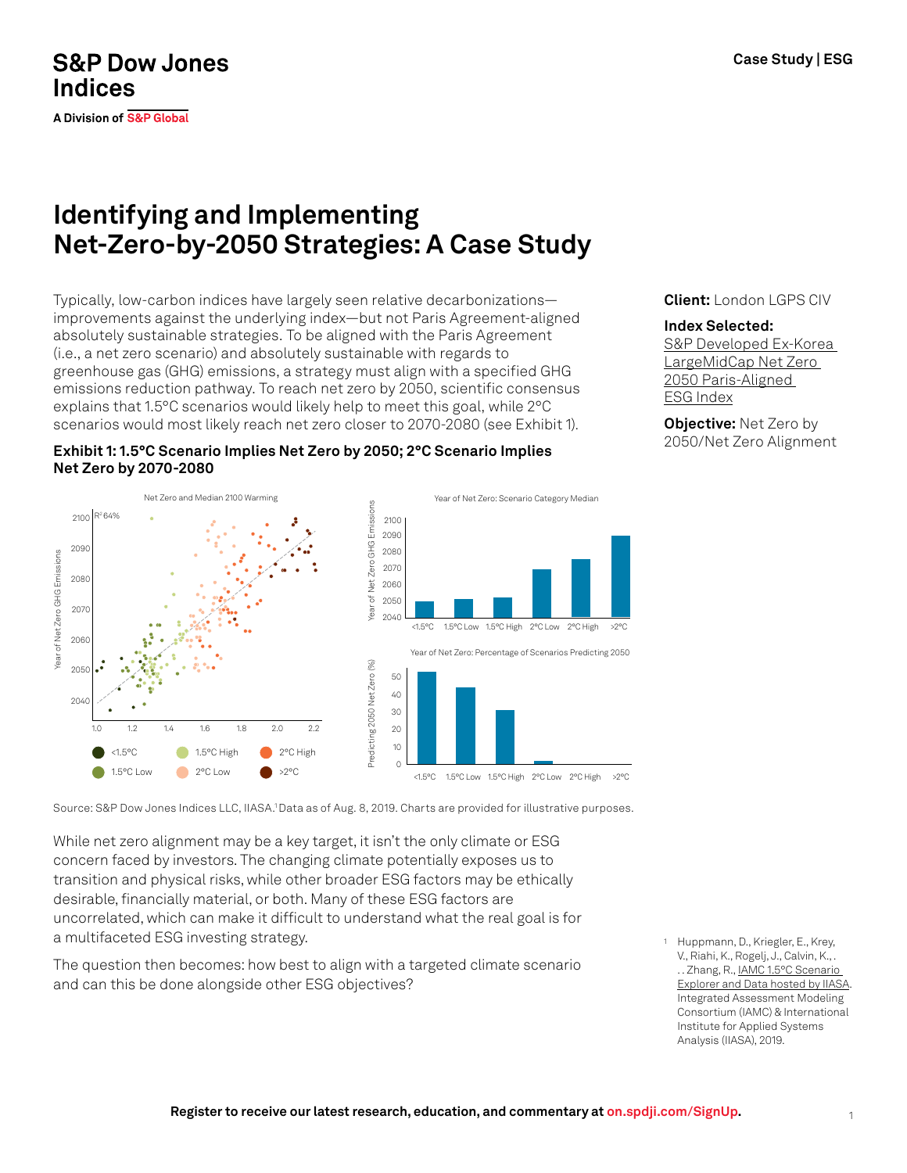## **S&P Dow Jones Indices**

**A Division of S&P Global** 

# **Identifying and Implementing Net-Zero-by-2050 Strategies: A Case Study**

Typically, low-carbon indices have largely seen relative decarbonizations improvements against the underlying index—but not Paris Agreement-aligned absolutely sustainable strategies. To be aligned with the Paris Agreement (i.e., a net zero scenario) and absolutely sustainable with regards to greenhouse gas (GHG) emissions, a strategy must align with a specified GHG emissions reduction pathway. To reach net zero by 2050, scientific consensus explains that 1.5°C scenarios would likely help to meet this goal, while 2°C scenarios would most likely reach net zero closer to 2070-2080 (see Exhibit 1).



Net Zero and Median 2100 Warming Year of Net Zero: Scenario Category Median Year of Net Alian 2000<br>
Year Of Net Alian 2006<br>
Year 2014<br>
Year 2040 2100 R<sup>2</sup> 64% 2100 2090 2090 2080 fear of Net Zero GHG Emissions Year of Net Zero GHG Emissions 2070 2080  $2060$ 2050 2070 <1.5°C 1.5°C Low 1.5°C High 2°C Low 2°C High >2°C 2060 Year of Net Zero: Percentage of Scenarios Predicting 2050 Predicting 2050 Net Zero (%) Predicting 2050 Net Zero (%) 2050 50 40 2040 30 20 1.0 1.2 1.4 1.6 1.8 2.0 2.2 10 <1.5°C 1.5°C High 2°C High œ  $\Omega$ 1.5°C Low  $\bullet$ 2°C Low >2°C <1.5°C 1.5°C Low 1.5°C High 2°C Low 2°C High >2°C

Source: S&P Dow Jones Indices LLC, IIASA.1 Data as of Aug. 8, 2019. Charts are provided for illustrative purposes.

While net zero alignment may be a key target, it isn't the only climate or ESG concern faced by investors. The changing climate potentially exposes us to transition and physical risks, while other broader ESG factors may be ethically desirable, financially material, or both. Many of these ESG factors are uncorrelated, which can make it difficult to understand what the real goal is for a multifaceted ESG investing strategy.

The question then becomes: how best to align with a targeted climate scenario and can this be done alongside other ESG objectives?

<sup>1</sup> Huppmann, D., Kriegler, E., Krey, V., Riahi, K., Rogelj, J., Calvin, K., . .. Zhang, R., IAMC 1.5°C Scenario [Explorer and Data hosted by IIASA.](https://data.ene.iiasa.ac.at/iamc-1.5c-explorer/) Integrated Assessment Modeling Consortium (IAMC) & International Institute for Applied Systems Analysis (IIASA), 2019.

**Client:** London LGPS CIV

#### **Index Selected:**

[S&P Developed Ex-Korea](https://www.spglobal.com/spdji/en/indices/esg/sp-developed-ex-korea-largemidcap-net-zero-2050-paris-aligned-esg-index/#overview)  [LargeMidCap Net Zero](https://www.spglobal.com/spdji/en/indices/esg/sp-developed-ex-korea-largemidcap-net-zero-2050-paris-aligned-esg-index/#overview)  [2050 Paris-Aligned](https://www.spglobal.com/spdji/en/indices/esg/sp-developed-ex-korea-largemidcap-net-zero-2050-paris-aligned-esg-index/#overview)  [ESG Index](https://www.spglobal.com/spdji/en/indices/esg/sp-developed-ex-korea-largemidcap-net-zero-2050-paris-aligned-esg-index/#overview)

**Objective:** Net Zero by 2050/Net Zero Alignment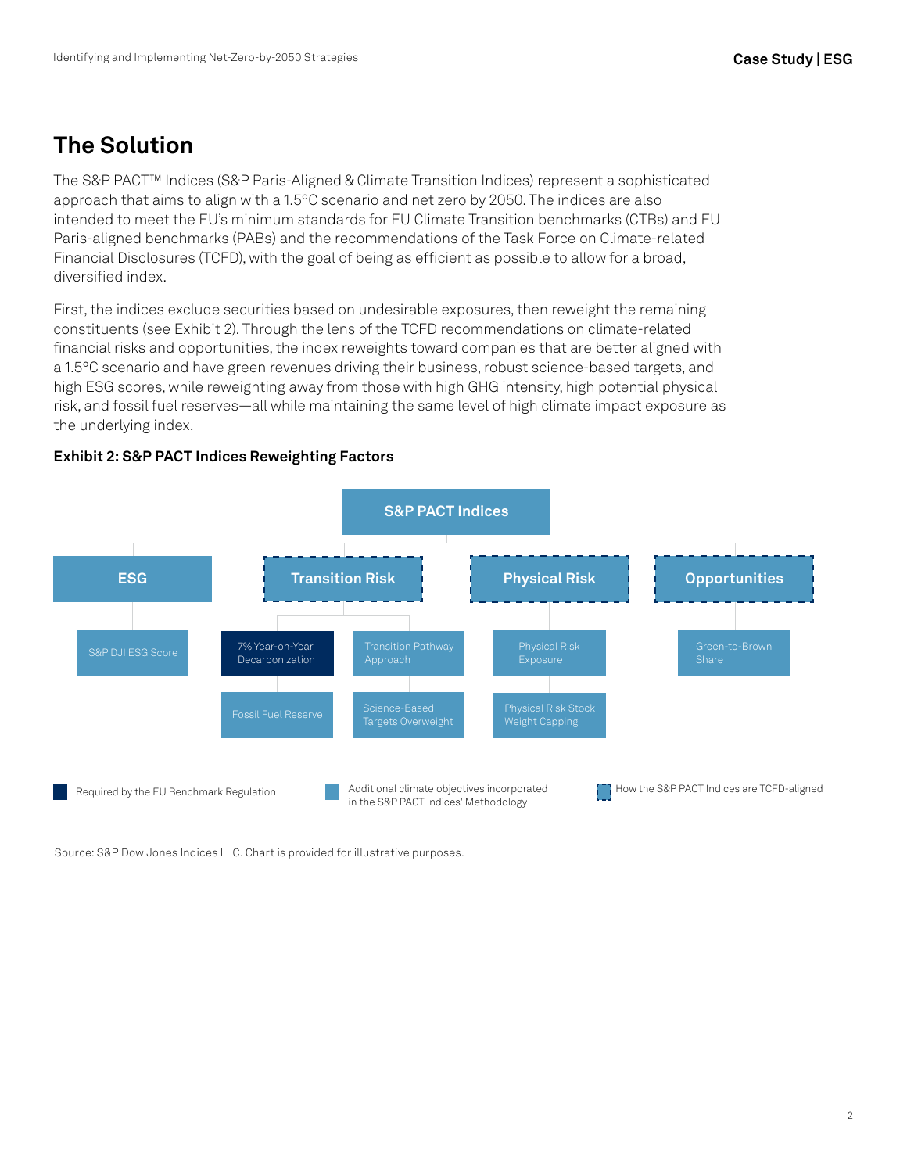## **The Solution**

The [S&P PACT™ Indices](https://www.spglobal.com/spdji/en/index-family/esg/esg-climate/paris-aligned-climate-transition-pact/?utm_source=pdf_education) (S&P Paris-Aligned & Climate Transition Indices) represent a sophisticated approach that aims to align with a 1.5°C scenario and net zero by 2050. The indices are also intended to meet the EU's minimum standards for EU Climate Transition benchmarks (CTBs) and EU Paris-aligned benchmarks (PABs) and the recommendations of the Task Force on Climate-related Financial Disclosures (TCFD), with the goal of being as efficient as possible to allow for a broad, diversified index.

First, the indices exclude securities based on undesirable exposures, then reweight the remaining constituents (see Exhibit 2). Through the lens of the TCFD recommendations on climate-related financial risks and opportunities, the index reweights toward companies that are better aligned with a 1.5°C scenario and have green revenues driving their business, robust science-based targets, and high ESG scores, while reweighting away from those with high GHG intensity, high potential physical risk, and fossil fuel reserves—all while maintaining the same level of high climate impact exposure as the underlying index.

### **Exhibit 2: S&P PACT Indices Reweighting Factors**



Source: S&P Dow Jones Indices LLC. Chart is provided for illustrative purposes.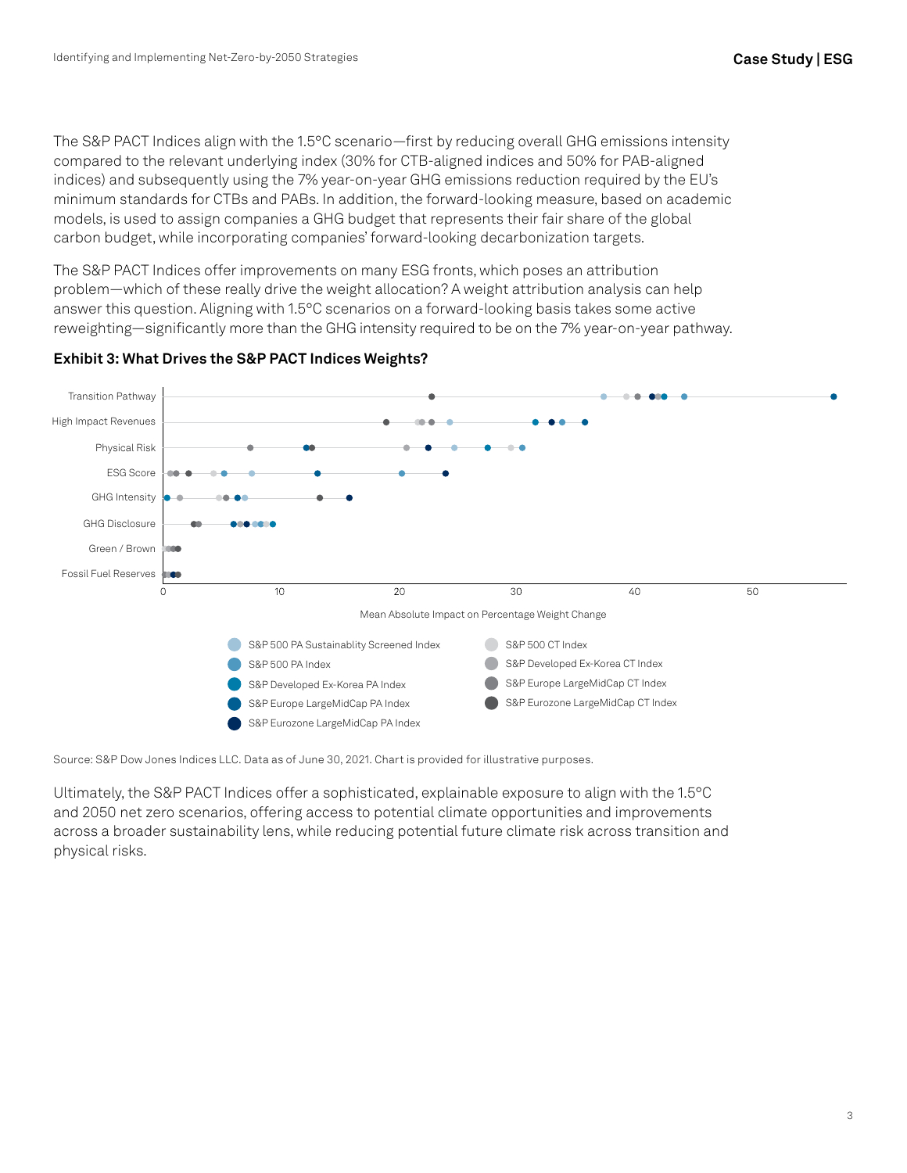The S&P PACT Indices align with the 1.5°C scenario—first by reducing overall GHG emissions intensity compared to the relevant underlying index (30% for CTB-aligned indices and 50% for PAB-aligned indices) and subsequently using the 7% year-on-year GHG emissions reduction required by the EU's minimum standards for CTBs and PABs. In addition, the forward-looking measure, based on academic models, is used to assign companies a GHG budget that represents their fair share of the global carbon budget, while incorporating companies' forward-looking decarbonization targets.

The S&P PACT Indices offer improvements on many ESG fronts, which poses an attribution problem—which of these really drive the weight allocation? A weight attribution analysis can help answer this question. Aligning with 1.5°C scenarios on a forward-looking basis takes some active reweighting—significantly more than the GHG intensity required to be on the 7% year-on-year pathway.



#### **Exhibit 3: What Drives the S&P PACT Indices Weights?**

Source: S&P Dow Jones Indices LLC. Data as of June 30, 2021. Chart is provided for illustrative purposes.

Ultimately, the S&P PACT Indices offer a sophisticated, explainable exposure to align with the 1.5°C and 2050 net zero scenarios, offering access to potential climate opportunities and improvements across a broader sustainability lens, while reducing potential future climate risk across transition and physical risks.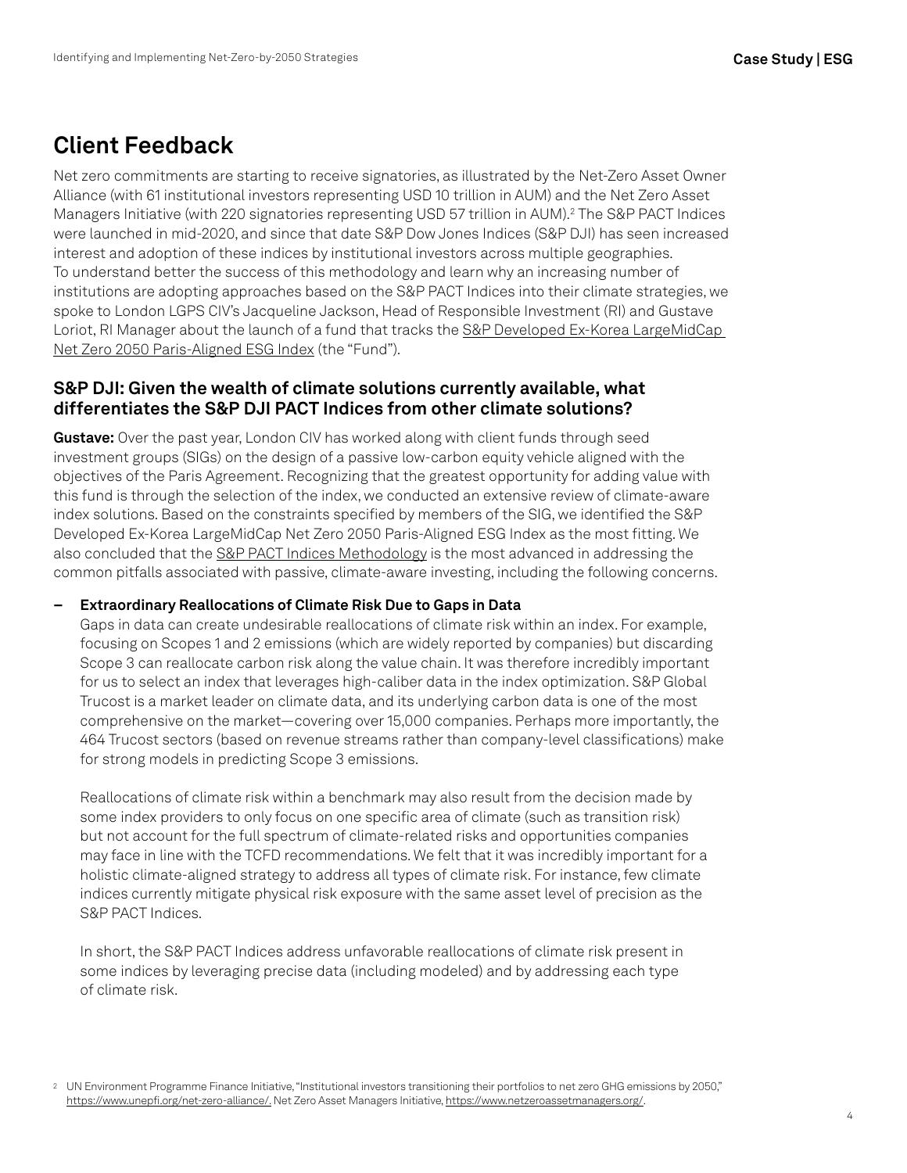## **Client Feedback**

Net zero commitments are starting to receive signatories, as illustrated by the Net-Zero Asset Owner Alliance (with 61 institutional investors representing USD 10 trillion in AUM) and the Net Zero Asset Managers Initiative (with 220 signatories representing USD 57 trillion in AUM).<sup>2</sup> The S&P PACT Indices were launched in mid-2020, and since that date S&P Dow Jones Indices (S&P DJI) has seen increased interest and adoption of these indices by institutional investors across multiple geographies. To understand better the success of this methodology and learn why an increasing number of institutions are adopting approaches based on the S&P PACT Indices into their climate strategies, we spoke to London LGPS CIV's Jacqueline Jackson, Head of Responsible Investment (RI) and Gustave Loriot, RI Manager about the launch of a fund that tracks the [S&P Developed Ex-Korea LargeMidCap](https://www.spglobal.com/spdji/en/indices/esg/sp-developed-ex-korea-largemidcap-net-zero-2050-paris-aligned-esg-index?utm_source=pdf_education)  [Net Zero 2050 Paris-Aligned ESG Index](https://www.spglobal.com/spdji/en/indices/esg/sp-developed-ex-korea-largemidcap-net-zero-2050-paris-aligned-esg-index?utm_source=pdf_education) (the "Fund").

## **S&P DJI: Given the wealth of climate solutions currently available, what differentiates the S&P DJI PACT Indices from other climate solutions?**

**Gustave:** Over the past year, London CIV has worked along with client funds through seed investment groups (SIGs) on the design of a passive low-carbon equity vehicle aligned with the objectives of the Paris Agreement. Recognizing that the greatest opportunity for adding value with this fund is through the selection of the index, we conducted an extensive review of climate-aware index solutions. Based on the constraints specified by members of the SIG, we identified the S&P Developed Ex-Korea LargeMidCap Net Zero 2050 Paris-Aligned ESG Index as the most fitting. We also concluded that the [S&P PACT Indices Methodology](https://www.spglobal.com/spdji/en/documents/methodologies/methodology-sp-paris-aligned-climate-transition-pact-indices.pdf?utm_source=pdf_education) is the most advanced in addressing the common pitfalls associated with passive, climate-aware investing, including the following concerns.

### **– Extraordinary Reallocations of Climate Risk Due to Gaps in Data**

Gaps in data can create undesirable reallocations of climate risk within an index. For example, focusing on Scopes 1 and 2 emissions (which are widely reported by companies) but discarding Scope 3 can reallocate carbon risk along the value chain. It was therefore incredibly important for us to select an index that leverages high-caliber data in the index optimization. S&P Global Trucost is a market leader on climate data, and its underlying carbon data is one of the most comprehensive on the market—covering over 15,000 companies. Perhaps more importantly, the 464 Trucost sectors (based on revenue streams rather than company-level classifications) make for strong models in predicting Scope 3 emissions.

Reallocations of climate risk within a benchmark may also result from the decision made by some index providers to only focus on one specific area of climate (such as transition risk) but not account for the full spectrum of climate-related risks and opportunities companies may face in line with the TCFD recommendations. We felt that it was incredibly important for a holistic climate-aligned strategy to address all types of climate risk. For instance, few climate indices currently mitigate physical risk exposure with the same asset level of precision as the S&P PACT Indices.

In short, the S&P PACT Indices address unfavorable reallocations of climate risk present in some indices by leveraging precise data (including modeled) and by addressing each type of climate risk.

<sup>2</sup> UN Environment Programme Finance Initiative, "Institutional investors transitioning their portfolios to net zero GHG emissions by 2050," [https://www.unepfi.org/net-zero-alliance/.](https://www.unepfi.org/net-zero-alliance) Net Zero Asset Managers Initiative, <https://www.netzeroassetmanagers.org/>.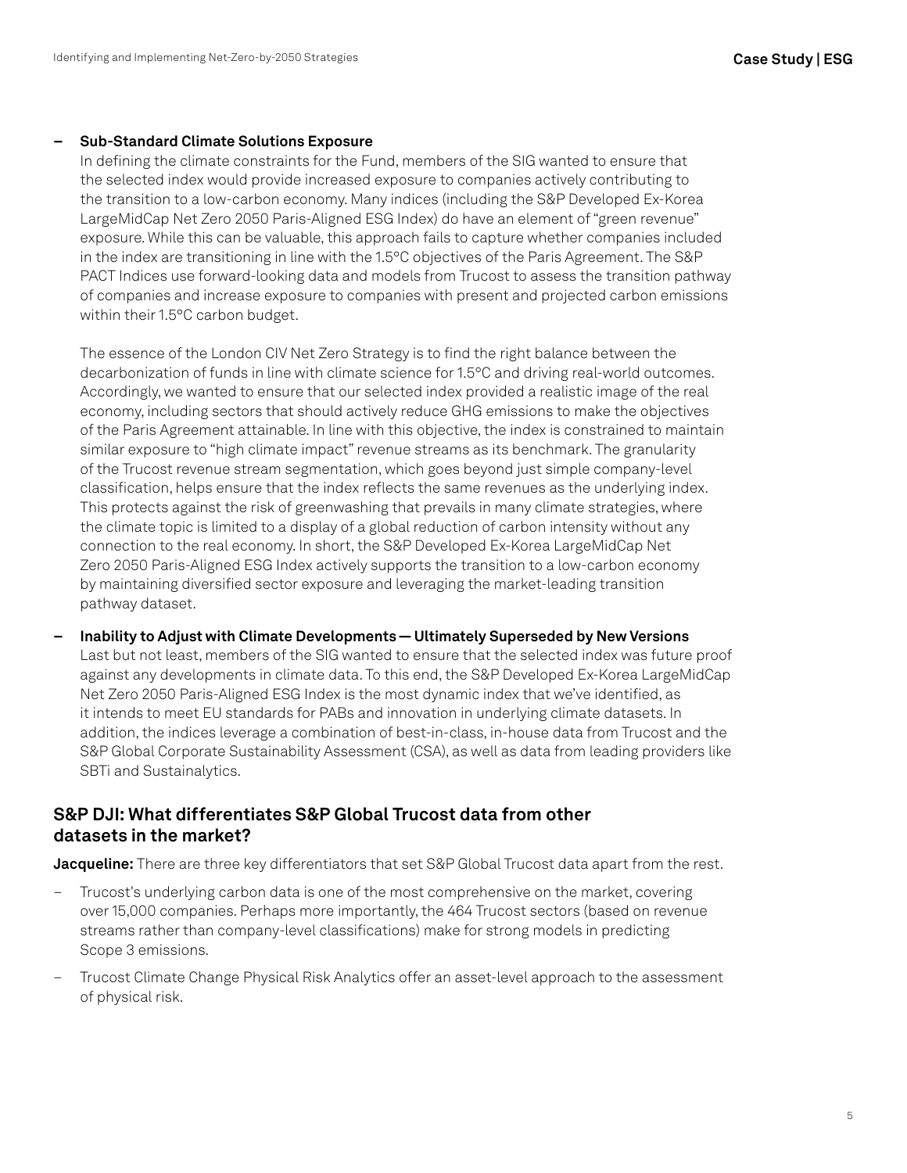#### **– Sub-Standard Climate Solutions Exposure**

In defining the climate constraints for the Fund, members of the SIG wanted to ensure that the selected index would provide increased exposure to companies actively contributing to the transition to a low-carbon economy. Many indices (including the S&P Developed Ex-Korea LargeMidCap Net Zero 2050 Paris-Aligned ESG Index) do have an element of "green revenue" exposure. While this can be valuable, this approach fails to capture whether companies included in the index are transitioning in line with the 1.5°C objectives of the Paris Agreement. The S&P PACT Indices use forward-looking data and models from Trucost to assess the transition pathway of companies and increase exposure to companies with present and projected carbon emissions within their 1.5°C carbon budget.

The essence of the London CIV Net Zero Strategy is to find the right balance between the decarbonization of funds in line with climate science for 1.5°C and driving real-world outcomes. Accordingly, we wanted to ensure that our selected index provided a realistic image of the real economy, including sectors that should actively reduce GHG emissions to make the objectives of the Paris Agreement attainable. In line with this objective, the index is constrained to maintain similar exposure to "high climate impact" revenue streams as its benchmark. The granularity of the Trucost revenue stream segmentation, which goes beyond just simple company-level classification, helps ensure that the index reflects the same revenues as the underlying index. This protects against the risk of greenwashing that prevails in many climate strategies, where the climate topic is limited to a display of a global reduction of carbon intensity without any connection to the real economy. In short, the S&P Developed Ex-Korea LargeMidCap Net Zero 2050 Paris-Aligned ESG Index actively supports the transition to a low-carbon economy by maintaining diversified sector exposure and leveraging the market-leading transition pathway dataset.

**– Inability to Adjust with Climate Developments — Ultimately Superseded by New Versions** Last but not least, members of the SIG wanted to ensure that the selected index was future proof against any developments in climate data. To this end, the S&P Developed Ex-Korea LargeMidCap Net Zero 2050 Paris-Aligned ESG Index is the most dynamic index that we've identified, as it intends to meet EU standards for PABs and innovation in underlying climate datasets. In addition, the indices leverage a combination of best-in-class, in-house data from Trucost and the S&P Global Corporate Sustainability Assessment (CSA), as well as data from leading providers like SBTi and Sustainalytics.

### **S&P DJI: What differentiates S&P Global Trucost data from other datasets in the market?**

**Jacqueline:** There are three key differentiators that set S&P Global Trucost data apart from the rest.

- Trucost's underlying carbon data is one of the most comprehensive on the market, covering over 15,000 companies. Perhaps more importantly, the 464 Trucost sectors (based on revenue streams rather than company-level classifications) make for strong models in predicting Scope 3 emissions.
- Trucost Climate Change Physical Risk Analytics offer an asset-level approach to the assessment of physical risk.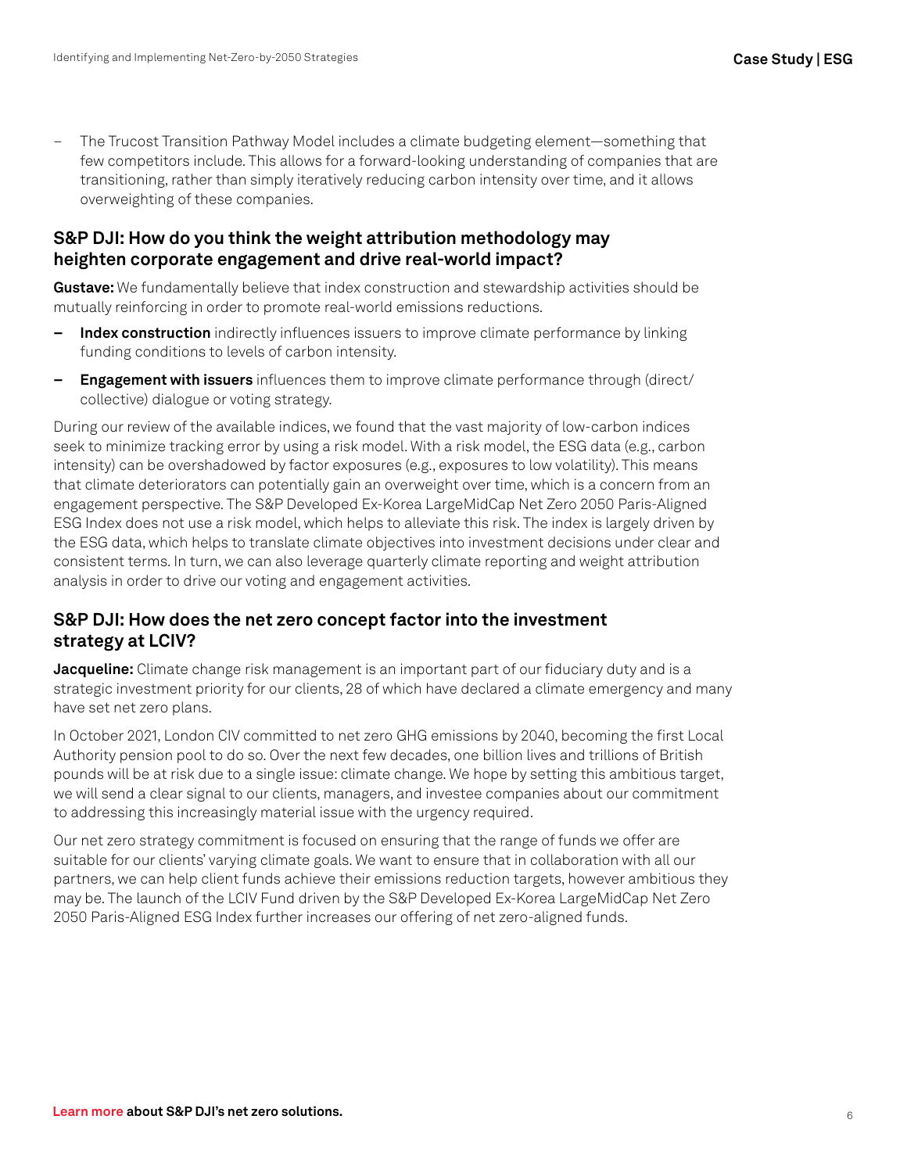– The Trucost Transition Pathway Model includes a climate budgeting element—something that few competitors include. This allows for a forward-looking understanding of companies that are transitioning, rather than simply iteratively reducing carbon intensity over time, and it allows overweighting of these companies.

### **S&P DJI: How do you think the weight attribution methodology may heighten corporate engagement and drive real-world impact?**

**Gustave:** We fundamentally believe that index construction and stewardship activities should be mutually reinforcing in order to promote real-world emissions reductions.

- **– Index construction** indirectly influences issuers to improve climate performance by linking funding conditions to levels of carbon intensity.
- **– Engagement with issuers** influences them to improve climate performance through (direct/ collective) dialogue or voting strategy.

During our review of the available indices, we found that the vast majority of low-carbon indices seek to minimize tracking error by using a risk model. With a risk model, the ESG data (e.g., carbon intensity) can be overshadowed by factor exposures (e.g., exposures to low volatility). This means that climate deteriorators can potentially gain an overweight over time, which is a concern from an engagement perspective. The S&P Developed Ex-Korea LargeMidCap Net Zero 2050 Paris-Aligned ESG Index does not use a risk model, which helps to alleviate this risk. The index is largely driven by the ESG data, which helps to translate climate objectives into investment decisions under clear and consistent terms. In turn, we can also leverage quarterly climate reporting and weight attribution analysis in order to drive our voting and engagement activities.

## **S&P DJI: How does the net zero concept factor into the investment strategy at LCIV?**

**Jacqueline:** Climate change risk management is an important part of our fiduciary duty and is a strategic investment priority for our clients, 28 of which have declared a climate emergency and many have set net zero plans.

In October 2021, London CIV committed to net zero GHG emissions by 2040, becoming the first Local Authority pension pool to do so. Over the next few decades, one billion lives and trillions of British pounds will be at risk due to a single issue: climate change. We hope by setting this ambitious target, we will send a clear signal to our clients, managers, and investee companies about our commitment to addressing this increasingly material issue with the urgency required.

Our net zero strategy commitment is focused on ensuring that the range of funds we offer are suitable for our clients' varying climate goals. We want to ensure that in collaboration with all our partners, we can help client funds achieve their emissions reduction targets, however ambitious they may be. The launch of the LCIV Fund driven by the S&P Developed Ex-Korea LargeMidCap Net Zero 2050 Paris-Aligned ESG Index further increases our offering of net zero-aligned funds.